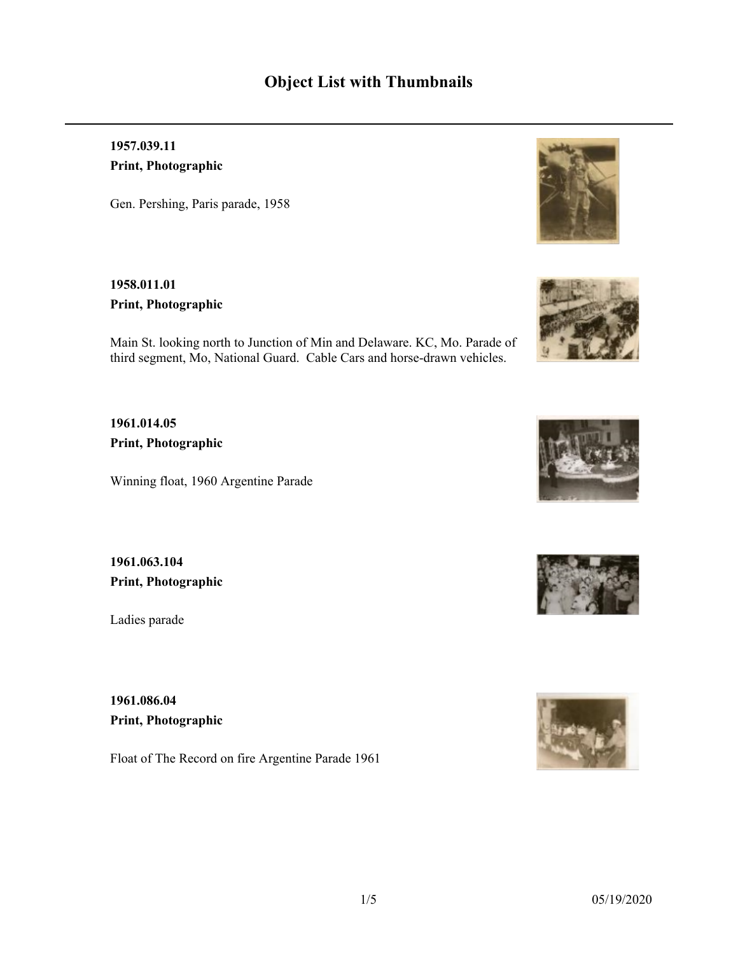## **1957.039.11 Print, Photographic**

Gen. Pershing, Paris parade, 1958

**1958.011.01 Print, Photographic**

Main St. looking north to Junction of Min and Delaware. KC, Mo. Parade of third segment, Mo, National Guard. Cable Cars and horse-drawn vehicles.

**1961.014.05 Print, Photographic**

Winning float, 1960 Argentine Parade

**1961.063.104 Print, Photographic**

Ladies parade

**1961.086.04 Print, Photographic**

Float of The Record on fire Argentine Parade 1961









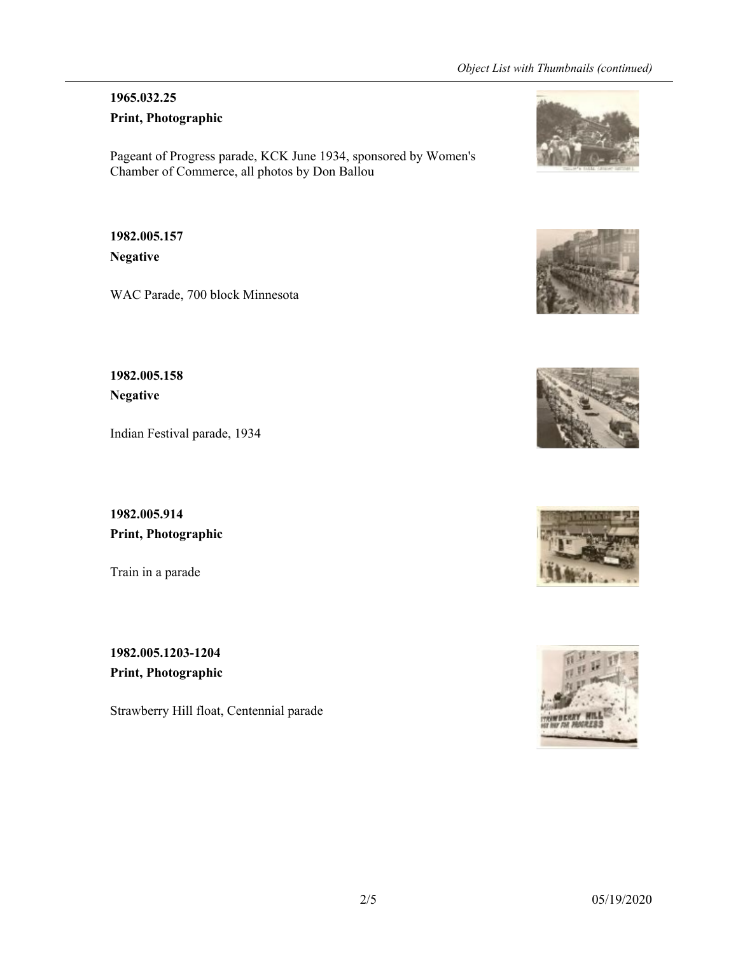# **1965.032.25**

**Print, Photographic**

Pageant of Progress parade, KCK June 1934, sponsored by Women's Chamber of Commerce, all photos by Don Ballou

# **1982.005.157 Negative**

WAC Parade, 700 block Minnesota

# **1982.005.158 Negative**

Indian Festival parade, 1934

**1982.005.914 Print, Photographic**

Train in a parade

**1982.005.1203-1204 Print, Photographic**

Strawberry Hill float, Centennial parade









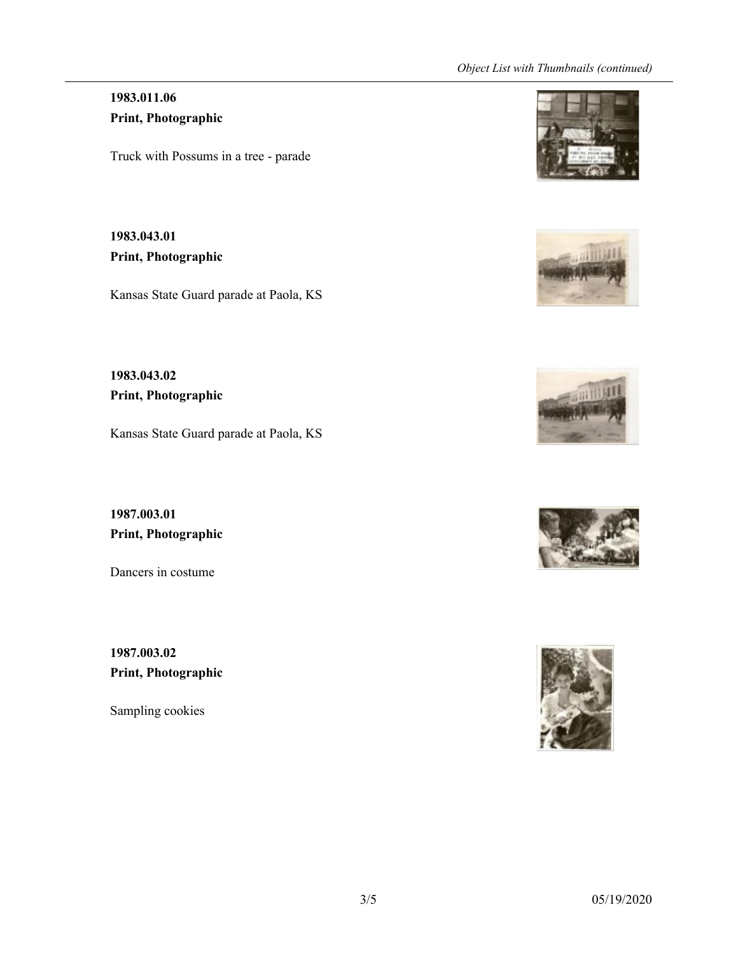#### *Object List with Thumbnails (continued)*

### **1983.011.06 Print, Photographic**

Truck with Possums in a tree - parade

**1983.043.01 Print, Photographic**

Kansas State Guard parade at Paola, KS

**1983.043.02 Print, Photographic**

Kansas State Guard parade at Paola, KS

**1987.003.01 Print, Photographic**

Dancers in costume

**1987.003.02 Print, Photographic**

Sampling cookies









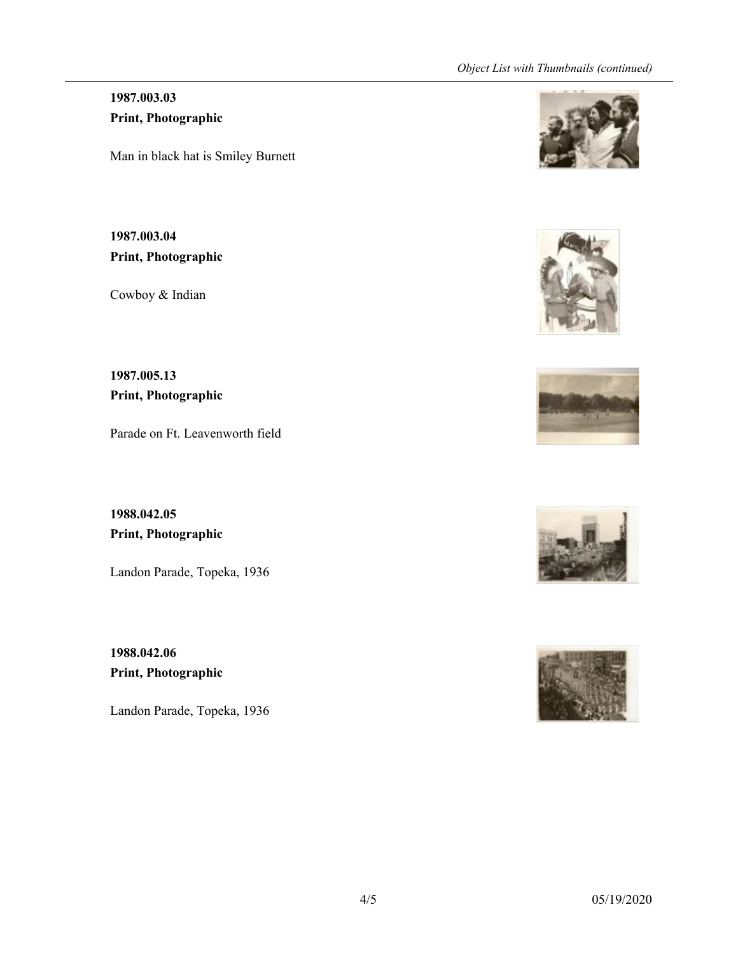#### *Object List with Thumbnails (continued)*

### **1987.003.03 Print, Photographic**

Man in black hat is Smiley Burnett

**1987.003.04 Print, Photographic**

Cowboy & Indian

**1987.005.13 Print, Photographic**

Parade on Ft. Leavenworth field

**1988.042.05 Print, Photographic**

Landon Parade, Topeka, 1936

**1988.042.06 Print, Photographic**

Landon Parade, Topeka, 1936